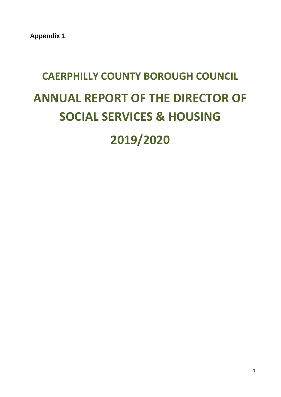**Appendix 1**

# **CAERPHILLY COUNTY BOROUGH COUNCIL ANNUAL REPORT OF THE DIRECTOR OF SOCIAL SERVICES & HOUSING 2019/2020**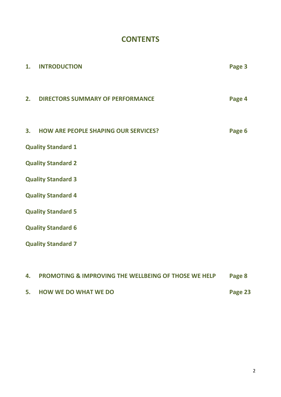## **CONTENTS**

| 1.                        | <b>INTRODUCTION</b>                         | Page 3 |
|---------------------------|---------------------------------------------|--------|
| 2.                        | <b>DIRECTORS SUMMARY OF PERFORMANCE</b>     | Page 4 |
| 3.                        | <b>HOW ARE PEOPLE SHAPING OUR SERVICES?</b> | Page 6 |
|                           | <b>Quality Standard 1</b>                   |        |
| <b>Quality Standard 2</b> |                                             |        |
| <b>Quality Standard 3</b> |                                             |        |
| <b>Quality Standard 4</b> |                                             |        |
| <b>Quality Standard 5</b> |                                             |        |
| <b>Quality Standard 6</b> |                                             |        |
|                           | <b>Quality Standard 7</b>                   |        |
|                           |                                             |        |
|                           |                                             |        |

| 4. PROMOTING & IMPROVING THE WELLBEING OF THOSE WE HELP | Page 8  |
|---------------------------------------------------------|---------|
| 5. HOW WE DO WHAT WE DO                                 | Page 23 |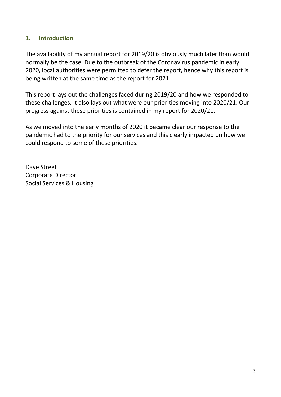#### **1. Introduction**

The availability of my annual report for 2019/20 is obviously much later than would normally be the case. Due to the outbreak of the Coronavirus pandemic in early 2020, local authorities were permitted to defer the report, hence why this report is being written at the same time as the report for 2021.

This report lays out the challenges faced during 2019/20 and how we responded to these challenges. It also lays out what were our priorities moving into 2020/21. Our progress against these priorities is contained in my report for 2020/21.

As we moved into the early months of 2020 it became clear our response to the pandemic had to the priority for our services and this clearly impacted on how we could respond to some of these priorities.

Dave Street Corporate Director Social Services & Housing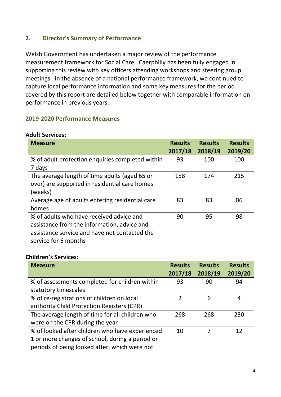## **2**. **Director's Summary of Performance**

Welsh Government has undertaken a major review of the performance measurement framework for Social Care. Caerphilly has been fully engaged in supporting this review with key officers attending workshops and steering group meetings. In the absence of a national performance framework, we continued to capture local performance information and some key measures for the period covered by this report are detailed below together with comparable information on performance in previous years:

#### **2019-2020 Performance Measures**

#### **Adult Services:**

| <b>Measure</b>                                   | <b>Results</b><br>2017/18 | <b>Results</b><br>2018/19 | <b>Results</b><br>2019/20 |
|--------------------------------------------------|---------------------------|---------------------------|---------------------------|
| % of adult protection enquiries completed within | 93                        | 100                       | 100                       |
| 7 days                                           |                           |                           |                           |
| The average length of time adults (aged 65 or    | 158                       | 174                       | 215                       |
| over) are supported in residential care homes    |                           |                           |                           |
| (weeks)                                          |                           |                           |                           |
| Average age of adults entering residential care  | 83                        | 83                        | 86                        |
| homes                                            |                           |                           |                           |
| % of adults who have received advice and         | 90                        | 95                        | 98                        |
| assistance from the information, advice and      |                           |                           |                           |
| assistance service and have not contacted the    |                           |                           |                           |
| service for 6 months                             |                           |                           |                           |

#### **Children's Services:**

| <b>Measure</b>                                  | <b>Results</b><br>2017/18 | <b>Results</b><br>2018/19 | <b>Results</b><br>2019/20 |
|-------------------------------------------------|---------------------------|---------------------------|---------------------------|
| % of assessments completed for children within  | 93                        | 90                        | 94                        |
| statutory timescales                            |                           |                           |                           |
| % of re-registrations of children on local      | $\mathfrak{D}$            | 6                         | 4                         |
| authority Child Protection Registers (CPR)      |                           |                           |                           |
| The average length of time for all children who | 268                       | 268                       | 230                       |
| were on the CPR during the year                 |                           |                           |                           |
| % of looked after children who have experienced | 10                        |                           | 12                        |
| 1 or more changes of school, during a period or |                           |                           |                           |
| periods of being looked after, which were not   |                           |                           |                           |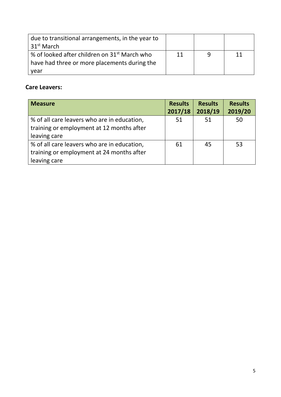| due to transitional arrangements, in the year to<br>31 <sup>st</sup> March |    |   |    |
|----------------------------------------------------------------------------|----|---|----|
| % of looked after children on 31 <sup>st</sup> March who                   | 11 | q | 11 |
| have had three or more placements during the                               |    |   |    |
| vear                                                                       |    |   |    |

## **Care Leavers:**

| <b>Measure</b>                                                                                           | <b>Results</b><br>2017/18 | <b>Results</b><br>2018/19 | <b>Results</b><br>2019/20 |
|----------------------------------------------------------------------------------------------------------|---------------------------|---------------------------|---------------------------|
| % of all care leavers who are in education,<br>training or employment at 12 months after<br>leaving care | 51                        | 51                        | 50                        |
| % of all care leavers who are in education,<br>training or employment at 24 months after<br>leaving care | 61                        | 45                        | 53                        |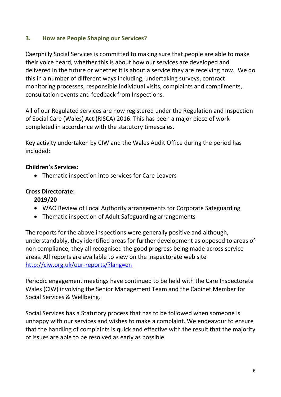## **3. How are People Shaping our Services?**

Caerphilly Social Services is committed to making sure that people are able to make their voice heard, whether this is about how our services are developed and delivered in the future or whether it is about a service they are receiving now. We do this in a number of different ways including, undertaking surveys, contract monitoring processes, responsible Individual visits, complaints and compliments, consultation events and feedback from Inspections.

All of our Regulated services are now registered under the Regulation and Inspection of Social Care (Wales) Act (RISCA) 2016. This has been a major piece of work completed in accordance with the statutory timescales.

Key activity undertaken by CIW and the Wales Audit Office during the period has included:

## **Children's Services:**

Thematic inspection into services for Care Leavers

## **Cross Directorate:**

### **2019/20**

- WAO Review of Local Authority arrangements for Corporate Safeguarding
- Thematic inspection of Adult Safeguarding arrangements

The reports for the above inspections were generally positive and although, understandably, they identified areas for further development as opposed to areas of non compliance, they all recognised the good progress being made across service areas. All reports are available to view on the Inspectorate web site <http://ciw.org.uk/our-reports/?lang=en>

Periodic engagement meetings have continued to be held with the Care Inspectorate Wales (CIW) involving the Senior Management Team and the Cabinet Member for Social Services & Wellbeing.

Social Services has a Statutory process that has to be followed when someone is unhappy with our services and wishes to make a complaint. We endeavour to ensure that the handling of complaints is quick and effective with the result that the majority of issues are able to be resolved as early as possible.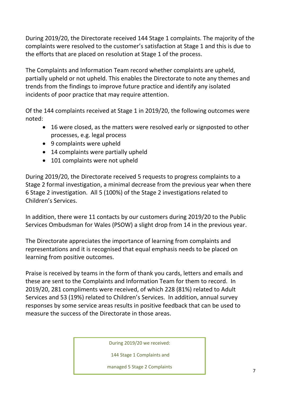During 2019/20, the Directorate received 144 Stage 1 complaints. The majority of the complaints were resolved to the customer's satisfaction at Stage 1 and this is due to the efforts that are placed on resolution at Stage 1 of the process.

The Complaints and Information Team record whether complaints are upheld, partially upheld or not upheld. This enables the Directorate to note any themes and trends from the findings to improve future practice and identify any isolated incidents of poor practice that may require attention.

Of the 144 complaints received at Stage 1 in 2019/20, the following outcomes were noted:

- 16 were closed, as the matters were resolved early or signposted to other processes, e.g. legal process
- 9 complaints were upheld
- 14 complaints were partially upheld
- 101 complaints were not upheld

During 2019/20, the Directorate received 5 requests to progress complaints to a Stage 2 formal investigation, a minimal decrease from the previous year when there 6 Stage 2 investigation. All 5 (100%) of the Stage 2 investigations related to Children's Services.

In addition, there were 11 contacts by our customers during 2019/20 to the Public Services Ombudsman for Wales (PSOW) a slight drop from 14 in the previous year.

The Directorate appreciates the importance of learning from complaints and representations and it is recognised that equal emphasis needs to be placed on learning from positive outcomes.

Praise is received by teams in the form of thank you cards, letters and emails and these are sent to the Complaints and Information Team for them to record. In 2019/20, 281 compliments were received, of which 228 (81%) related to Adult Services and 53 (19%) related to Children's Services. In addition, annual survey responses by some service areas results in positive feedback that can be used to measure the success of the Directorate in those areas.

During 2019/20 we received:

144 Stage 1 Complaints and

managed 5 Stage 2 Complaints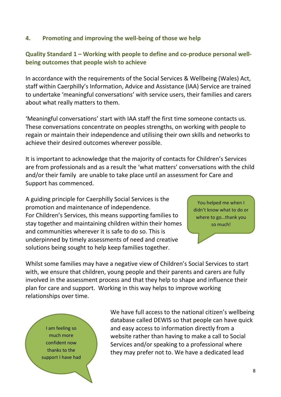#### **4. Promoting and improving the well-being of those we help**

## **Quality Standard 1 – Working with people to define and co-produce personal wellbeing outcomes that people wish to achieve**

In accordance with the requirements of the Social Services & Wellbeing (Wales) Act, staff within Caerphilly's Information, Advice and Assistance (IAA) Service are trained to undertake 'meaningful conversations' with service users, their families and carers about what really matters to them.

'Meaningful conversations' start with IAA staff the first time someone contacts us. These conversations concentrate on peoples strengths, on working with people to regain or maintain their independence and utilising their own skills and networks to achieve their desired outcomes wherever possible.

It is important to acknowledge that the majority of contacts for Children's Services are from professionals and as a result the 'what matters' conversations with the child and/or their family are unable to take place until an assessment for Care and Support has commenced.

A guiding principle for Caerphilly Social Services is the promotion and maintenance of independence. For Children's Services, this means supporting families to stay together and maintaining children within their homes and communities wherever it is safe to do so. This is underpinned by timely assessments of need and creative solutions being sought to help keep families together.



Whilst some families may have a negative view of Children's Social Services to start with, we ensure that children, young people and their parents and carers are fully involved in the assessment process and that they help to shape and influence their plan for care and support. Working in this way helps to improve working relationships over time.

I am feeling so much more confident now thanks to the support I have had

We have full access to the national citizen's wellbeing database called DEWIS so that people can have quick and easy access to information directly from a website rather than having to make a call to Social Services and/or speaking to a professional where they may prefer not to. We have a dedicated lead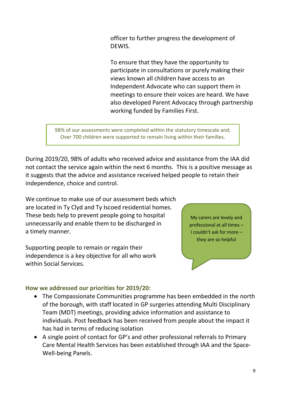officer to further progress the development of DEWIS.

To ensure that they have the opportunity to participate in consultations or purely making their views known all children have access to an Independent Advocate who can support them in meetings to ensure their voices are heard. We have also developed Parent Advocacy through partnership working funded by Families First.

98% of our assessments were completed within the statutory timescale and; Over 700 children were supported to remain living within their families.

During 2019/20, 98% of adults who received advice and assistance from the IAA did not contact the service again within the next 6 months. This is a positive message as it suggests that the advice and assistance received helped people to retain their independence, choice and control.

We continue to make use of our assessment beds which are located in Ty Clyd and Ty Iscoed residential homes. These beds help to prevent people going to hospital unnecessarily and enable them to be discharged in a timely manner.

Supporting people to remain or regain their independence is a key objective for all who work within Social Services.

My carers are lovely and professional at all times – I couldn't ask for more – they are so helpful

#### **How we addressed our priorities for 2019/20:**

- The Compassionate Communities programme has been embedded in the north of the borough, with staff located in GP surgeries attending Multi Disciplinary Team (MDT) meetings, providing advice information and assistance to individuals. Post feedback has been received from people about the impact it has had in terms of reducing isolation
- A single point of contact for GP's and other professional referrals to Primary Care Mental Health Services has been established through IAA and the Space-Well-being Panels.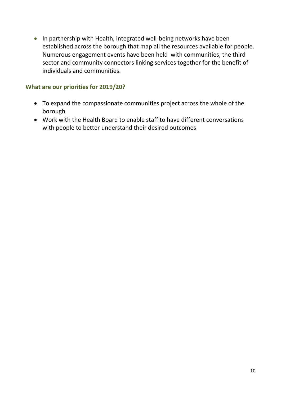• In partnership with Health, integrated well-being networks have been established across the borough that map all the resources available for people. Numerous engagement events have been held with communities, the third sector and community connectors linking services together for the benefit of individuals and communities.

#### **What are our priorities for 2019/20?**

- To expand the compassionate communities project across the whole of the borough
- Work with the Health Board to enable staff to have different conversations with people to better understand their desired outcomes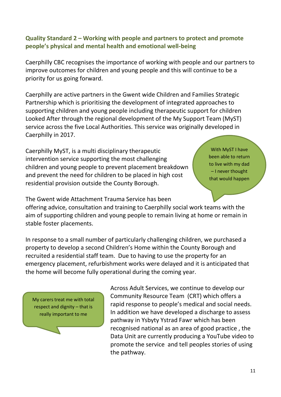## **Quality Standard 2 – Working with people and partners to protect and promote people's physical and mental health and emotional well-being**

Caerphilly CBC recognises the importance of working with people and our partners to improve outcomes for children and young people and this will continue to be a priority for us going forward.

Caerphilly are active partners in the Gwent wide Children and Families Strategic Partnership which is prioritising the development of integrated approaches to supporting children and young people including therapeutic support for children Looked After through the regional development of the My Support Team (MyST) service across the five Local Authorities. This service was originally developed in Caerphilly in 2017.

Caerphilly MyST, is a multi disciplinary therapeutic intervention service supporting the most challenging children and young people to prevent placement breakdown and prevent the need for children to be placed in high cost residential provision outside the County Borough.

With MyST I have been able to return to live with my dad – I never thought that would happen

The Gwent wide Attachment Trauma Service has been

offering advice, consultation and training to Caerphilly social work teams with the aim of supporting children and young people to remain living at home or remain in stable foster placements.

In response to a small number of particularly challenging children, we purchased a property to develop a second Children's Home within the County Borough and recruited a residential staff team. Due to having to use the property for an emergency placement, refurbishment works were delayed and it is anticipated that the home will become fully operational during the coming year.

My carers treat me with total respect and dignity – that is really important to me

Across Adult Services, we continue to develop our Community Resource Team (CRT) which offers a rapid response to people's medical and social needs. In addition we have developed a discharge to assess pathway in Ysbyty Ystrad Fawr which has been recognised national as an area of good practice , the Data Unit are currently producing a YouTube video to promote the service and tell peoples stories of using the pathway.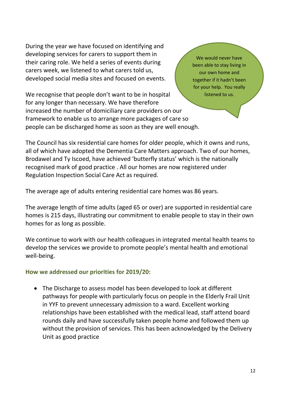During the year we have focused on identifying and developing services for carers to support them in their caring role. We held a series of events during carers week, we listened to what carers told us, developed social media sites and focused on events.

We recognise that people don't want to be in hospital for any longer than necessary. We have therefore increased the number of domiciliary care providers on our framework to enable us to arrange more packages of care so people can be discharged home as soon as they are well enough.

We would never have been able to stay living in our own home and together if it hadn't been for your help. You really listened to us.

The Council has six residential care homes for older people, which it owns and runs, all of which have adopted the Dementia Care Matters approach. Two of our homes, Brodawel and Ty Iscoed, have achieved 'butterfly status' which is the nationally recognised mark of good practice . All our homes are now registered under Regulation Inspection Social Care Act as required.

The average age of adults entering residential care homes was 86 years.

The average length of time adults (aged 65 or over) are supported in residential care homes is 215 days, illustrating our commitment to enable people to stay in their own homes for as long as possible.

We continue to work with our health colleagues in integrated mental health teams to develop the services we provide to promote people's mental health and emotional well-being.

**How we addressed our priorities for 2019/20:**

 The Discharge to assess model has been developed to look at different pathways for people with particularly focus on people in the Elderly Frail Unit in YYF to prevent unnecessary admission to a ward. Excellent working relationships have been established with the medical lead, staff attend board rounds daily and have successfully taken people home and followed them up without the provision of services. This has been acknowledged by the Delivery Unit as good practice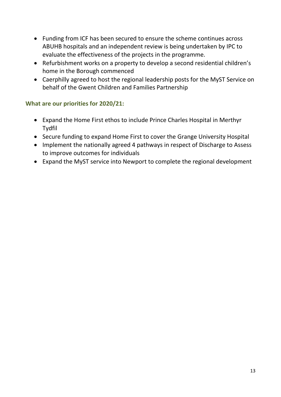- Funding from ICF has been secured to ensure the scheme continues across ABUHB hospitals and an independent review is being undertaken by IPC to evaluate the effectiveness of the projects in the programme.
- Refurbishment works on a property to develop a second residential children's home in the Borough commenced
- Caerphilly agreed to host the regional leadership posts for the MyST Service on behalf of the Gwent Children and Families Partnership

## **What are our priorities for 2020/21:**

- Expand the Home First ethos to include Prince Charles Hospital in Merthyr Tydfil
- Secure funding to expand Home First to cover the Grange University Hospital
- Implement the nationally agreed 4 pathways in respect of Discharge to Assess to improve outcomes for individuals
- Expand the MyST service into Newport to complete the regional development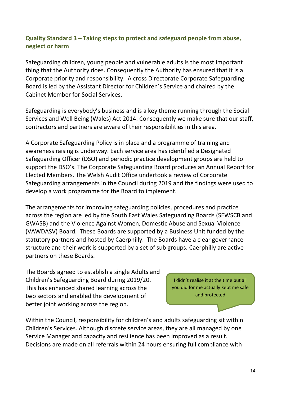## **Quality Standard 3 – Taking steps to protect and safeguard people from abuse, neglect or harm**

Safeguarding children, young people and vulnerable adults is the most important thing that the Authority does. Consequently the Authority has ensured that it is a Corporate priority and responsibility. A cross Directorate Corporate Safeguarding Board is led by the Assistant Director for Children's Service and chaired by the Cabinet Member for Social Services.

Safeguarding is everybody's business and is a key theme running through the Social Services and Well Being (Wales) Act 2014. Consequently we make sure that our staff, contractors and partners are aware of their responsibilities in this area.

A Corporate Safeguarding Policy is in place and a programme of training and awareness raising is underway. Each service area has identified a Designated Safeguarding Officer (DSO) and periodic practice development groups are held to support the DSO's. The Corporate Safeguarding Board produces an Annual Report for Elected Members. The Welsh Audit Office undertook a review of Corporate Safeguarding arrangements in the Council during 2019 and the findings were used to develop a work programme for the Board to implement.

The arrangements for improving safeguarding policies, procedures and practice across the region are led by the South East Wales Safeguarding Boards (SEWSCB and GWASB) and the Violence Against Women, Domestic Abuse and Sexual Violence (VAWDASV) Board. These Boards are supported by a Business Unit funded by the statutory partners and hosted by Caerphilly. The Boards have a clear governance structure and their work is supported by a set of sub groups. Caerphilly are active partners on these Boards.

The Boards agreed to establish a single Adults and Children's Safeguarding Board during 2019/20. This has enhanced shared learning across the two sectors and enabled the development of better joint working across the region.

I didn't realise it at the time but all you did for me actually kept me safe and protected

Within the Council, responsibility for children's and adults safeguarding sit within Children's Services. Although discrete service areas, they are all managed by one Service Manager and capacity and resilience has been improved as a result. Decisions are made on all referrals within 24 hours ensuring full compliance with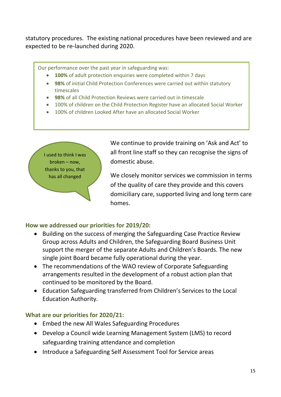statutory procedures. The existing national procedures have been reviewed and are expected to be re-launched during 2020.

Our performance over the past year in safeguarding was:

- **100%** of adult protection enquiries were completed within 7 days
- **98%** of initial Child Protection Conferences were carried out within statutory timescales
- **98%** of all Child Protection Reviews were carried out in timescale
- 100% of children on the Child Protection Register have an allocated Social Worker
- 100% of children Looked After have an allocated Social Worker

I used to think I was broken – now, thanks to you, that has all changed

We continue to provide training on 'Ask and Act' to all front line staff so they can recognise the signs of domestic abuse.

We closely monitor services we commission in terms of the quality of care they provide and this covers domiciliary care, supported living and long term care homes.

#### **How we addressed our priorities for 2019/20:**

- Building on the success of merging the Safeguarding Case Practice Review Group across Adults and Children, the Safeguarding Board Business Unit support the merger of the separate Adults and Children's Boards. The new single joint Board became fully operational during the year.
- The recommendations of the WAO review of Corporate Safeguarding arrangements resulted in the development of a robust action plan that continued to be monitored by the Board.
- Education Safeguarding transferred from Children's Services to the Local Education Authority.

#### **What are our priorities for 2020/21:**

- Embed the new All Wales Safeguarding Procedures
- Develop a Council wide Learning Management System (LMS) to record safeguarding training attendance and completion
- Introduce a Safeguarding Self Assessment Tool for Service areas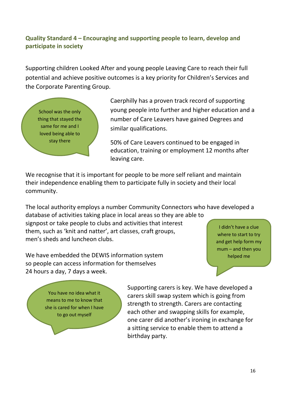## **Quality Standard 4 – Encouraging and supporting people to learn, develop and participate in society**

Supporting children Looked After and young people Leaving Care to reach their full potential and achieve positive outcomes is a key priority for Children's Services and the Corporate Parenting Group.



Caerphilly has a proven track record of supporting young people into further and higher education and a number of Care Leavers have gained Degrees and similar qualifications.

50% of Care Leavers continued to be engaged in education, training or employment 12 months after leaving care.

We recognise that it is important for people to be more self reliant and maintain their independence enabling them to participate fully in society and their local community.

The local authority employs a number Community Connectors who have developed a

database of activities taking place in local areas so they are able to signpost or take people to clubs and activities that interest them, such as 'knit and natter', art classes, craft groups, men's sheds and luncheon clubs.

We have embedded the DEWIS information system so people can access information for themselves 24 hours a day, 7 days a week.

I didn't have a clue where to start to try and get help form my mum – and then you helped me

You have no idea what it means to me to know that she is cared for when I have to go out myself

Supporting carers is key. We have developed a carers skill swap system which is going from strength to strength. Carers are contacting each other and swapping skills for example, one carer did another's ironing in exchange for a sitting service to enable them to attend a birthday party.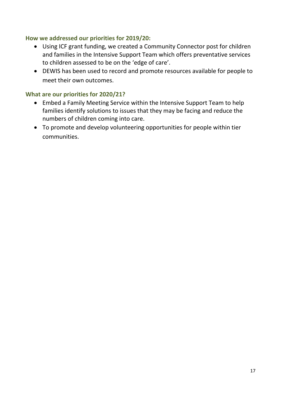#### **How we addressed our priorities for 2019/20:**

- Using ICF grant funding, we created a Community Connector post for children and families in the Intensive Support Team which offers preventative services to children assessed to be on the 'edge of care'.
- DEWIS has been used to record and promote resources available for people to meet their own outcomes.

#### **What are our priorities for 2020/21?**

- Embed a Family Meeting Service within the Intensive Support Team to help families identify solutions to issues that they may be facing and reduce the numbers of children coming into care.
- To promote and develop volunteering opportunities for people within tier communities.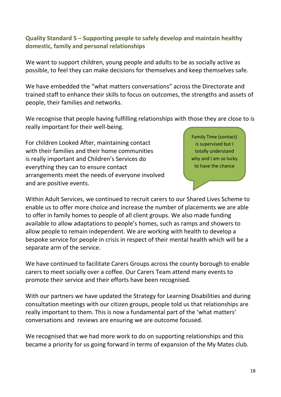## **Quality Standard 5 – Supporting people to safely develop and maintain healthy domestic, family and personal relationships**

We want to support children, young people and adults to be as socially active as possible, to feel they can make decisions for themselves and keep themselves safe.

We have embedded the "what matters conversations" across the Directorate and trained staff to enhance their skills to focus on outcomes, the strengths and assets of people, their families and networks.

We recognise that people having fulfilling relationships with those they are close to is really important for their well-being.

For children Looked After, maintaining contact with their families and their home communities is really important and Children's Services do everything they can to ensure contact arrangements meet the needs of everyone involved and are positive events.

Family Time (contact) is supervised but I totally understand why and I am so lucky to have the chance

Within Adult Services, we continued to recruit carers to our Shared Lives Scheme to enable us to offer more choice and increase the number of placements we are able to offer in family homes to people of all client groups. We also made funding available to allow adaptations to people's homes, such as ramps and showers to allow people to remain independent. We are working with health to develop a bespoke service for people in crisis in respect of their mental health which will be a separate arm of the service.

We have continued to facilitate Carers Groups across the county borough to enable carers to meet socially over a coffee. Our Carers Team attend many events to promote their service and their efforts have been recognised.

With our partners we have updated the Strategy for Learning Disabilities and during consultation meetings with our citizen groups, people told us that relationships are really important to them. This is now a fundamental part of the 'what matters' conversations and reviews are ensuring we are outcome focused.

We recognised that we had more work to do on supporting relationships and this became a priority for us going forward in terms of expansion of the My Mates club.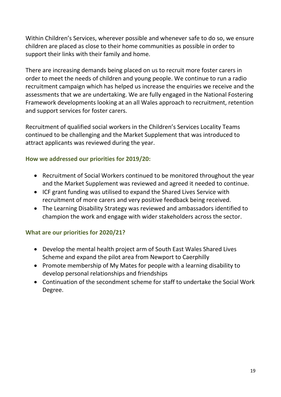Within Children's Services, wherever possible and whenever safe to do so, we ensure children are placed as close to their home communities as possible in order to support their links with their family and home.

There are increasing demands being placed on us to recruit more foster carers in order to meet the needs of children and young people. We continue to run a radio recruitment campaign which has helped us increase the enquiries we receive and the assessments that we are undertaking. We are fully engaged in the National Fostering Framework developments looking at an all Wales approach to recruitment, retention and support services for foster carers.

Recruitment of qualified social workers in the Children's Services Locality Teams continued to be challenging and the Market Supplement that was introduced to attract applicants was reviewed during the year.

#### **How we addressed our priorities for 2019/20:**

- Recruitment of Social Workers continued to be monitored throughout the year and the Market Supplement was reviewed and agreed it needed to continue.
- ICF grant funding was utilised to expand the Shared Lives Service with recruitment of more carers and very positive feedback being received.
- The Learning Disability Strategy was reviewed and ambassadors identified to champion the work and engage with wider stakeholders across the sector.

## **What are our priorities for 2020/21?**

- Develop the mental health project arm of South East Wales Shared Lives Scheme and expand the pilot area from Newport to Caerphilly
- Promote membership of My Mates for people with a learning disability to develop personal relationships and friendships
- Continuation of the secondment scheme for staff to undertake the Social Work Degree.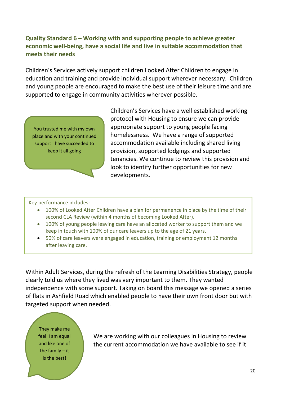## **Quality Standard 6 – Working with and supporting people to achieve greater economic well-being, have a social life and live in suitable accommodation that meets their needs**

Children's Services actively support children Looked After Children to engage in education and training and provide individual support wherever necessary. Children and young people are encouraged to make the best use of their leisure time and are supported to engage in community activities wherever possible.

You trusted me with my own place and with your continued support I have succeeded to keep it all going

Children's Services have a well established working protocol with Housing to ensure we can provide appropriate support to young people facing homelessness. We have a range of supported accommodation available including shared living provision, supported lodgings and supported tenancies. We continue to review this provision and look to identify further opportunities for new developments.

Key performance includes:

- 100% of Looked After Children have a plan for permanence in place by the time of their second CLA Review (within 4 months of becoming Looked After).
- 100% of young people leaving care have an allocated worker to support them and we keep in touch with 100% of our care leavers up to the age of 21 years.
- 50% of care leavers were engaged in education, training or employment 12 months after leaving care.

Within Adult Services, during the refresh of the Learning Disabilities Strategy, people clearly told us where they lived was very important to them. They wanted independence with some support. Taking on board this message we opened a series of flats in Ashfield Road which enabled people to have their own front door but with targeted support when needed.

They make me feel I am equal and like one of the family – it is the best!

We are working with our colleagues in Housing to review the current accommodation we have available to see if it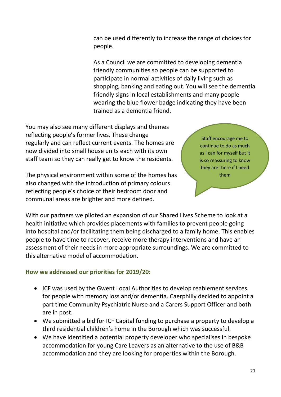can be used differently to increase the range of choices for people.

As a Council we are committed to developing dementia friendly communities so people can be supported to participate in normal activities of daily living such as shopping, banking and eating out. You will see the dementia friendly signs in local establishments and many people wearing the blue flower badge indicating they have been trained as a dementia friend.

You may also see many different displays and themes reflecting people's former lives. These change regularly and can reflect current events. The homes are now divided into small house units each with its own staff team so they can really get to know the residents.

The physical environment within some of the homes has also changed with the introduction of primary colours reflecting people's choice of their bedroom door and communal areas are brighter and more defined.

Staff encourage me to continue to do as much as I can for myself but it is so reassuring to know they are there if I need them

With our partners we piloted an expansion of our Shared Lives Scheme to look at a health initiative which provides placements with families to prevent people going into hospital and/or facilitating them being discharged to a family home. This enables people to have time to recover, receive more therapy interventions and have an assessment of their needs in more appropriate surroundings. We are committed to this alternative model of accommodation.

#### **How we addressed our priorities for 2019/20:**

- ICF was used by the Gwent Local Authorities to develop reablement services for people with memory loss and/or dementia. Caerphilly decided to appoint a part time Community Psychiatric Nurse and a Carers Support Officer and both are in post.
- We submitted a bid for ICF Capital funding to purchase a property to develop a third residential children's home in the Borough which was successful.
- We have identified a potential property developer who specialises in bespoke accommodation for young Care Leavers as an alternative to the use of B&B accommodation and they are looking for properties within the Borough.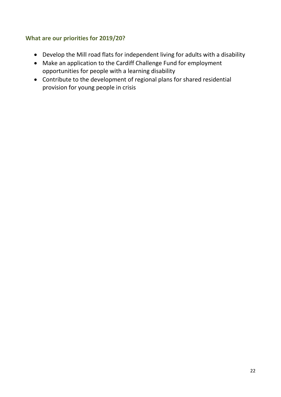### **What are our priorities for 2019/20?**

- Develop the Mill road flats for independent living for adults with a disability
- Make an application to the Cardiff Challenge Fund for employment opportunities for people with a learning disability
- Contribute to the development of regional plans for shared residential provision for young people in crisis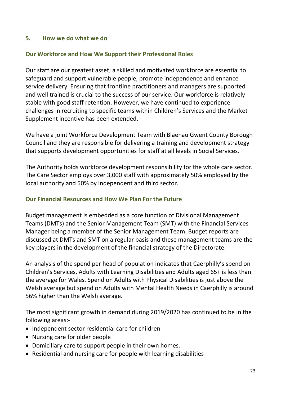#### **5. How we do what we do**

## **Our Workforce and How We Support their Professional Roles**

Our staff are our greatest asset; a skilled and motivated workforce are essential to safeguard and support vulnerable people, promote independence and enhance service delivery. Ensuring that frontline practitioners and managers are supported and well trained is crucial to the success of our service. Our workforce is relatively stable with good staff retention. However, we have continued to experience challenges in recruiting to specific teams within Children's Services and the Market Supplement incentive has been extended.

We have a joint Workforce Development Team with Blaenau Gwent County Borough Council and they are responsible for delivering a training and development strategy that supports development opportunities for staff at all levels in Social Services.

The Authority holds workforce development responsibility for the whole care sector. The Care Sector employs over 3,000 staff with approximately 50% employed by the local authority and 50% by independent and third sector.

#### **Our Financial Resources and How We Plan For the Future**

Budget management is embedded as a core function of Divisional Management Teams (DMTs) and the Senior Management Team (SMT) with the Financial Services Manager being a member of the Senior Management Team. Budget reports are discussed at DMTs and SMT on a regular basis and these management teams are the key players in the development of the financial strategy of the Directorate.

An analysis of the spend per head of population indicates that Caerphilly's spend on Children's Services, Adults with Learning Disabilities and Adults aged 65+ is less than the average for Wales. Spend on Adults with Physical Disabilities is just above the Welsh average but spend on Adults with Mental Health Needs in Caerphilly is around 56% higher than the Welsh average.

The most significant growth in demand during 2019/2020 has continued to be in the following areas:-

- Independent sector residential care for children
- Nursing care for older people
- Domiciliary care to support people in their own homes.
- Residential and nursing care for people with learning disabilities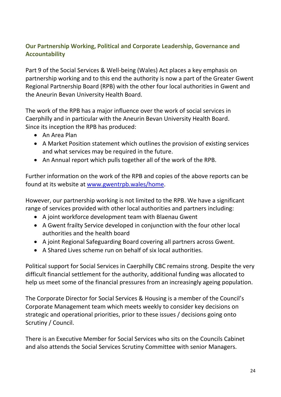## **Our Partnership Working, Political and Corporate Leadership, Governance and Accountability**

Part 9 of the Social Services & Well-being (Wales) Act places a key emphasis on partnership working and to this end the authority is now a part of the Greater Gwent Regional Partnership Board (RPB) with the other four local authorities in Gwent and the Aneurin Bevan University Health Board.

The work of the RPB has a major influence over the work of social services in Caerphilly and in particular with the Aneurin Bevan University Health Board. Since its inception the RPB has produced:

- An Area Plan
- A Market Position statement which outlines the provision of existing services and what services may be required in the future.
- An Annual report which pulls together all of the work of the RPB.

Further information on the work of the RPB and copies of the above reports can be found at its website at [www.gwentrpb.wales/home.](http://www.gwentrpb.wales/home)

However, our partnership working is not limited to the RPB. We have a significant range of services provided with other local authorities and partners including:

- A joint workforce development team with Blaenau Gwent
- A Gwent frailty Service developed in conjunction with the four other local authorities and the health board
- A joint Regional Safeguarding Board covering all partners across Gwent.
- A Shared Lives scheme run on behalf of six local authorities.

Political support for Social Services in Caerphilly CBC remains strong. Despite the very difficult financial settlement for the authority, additional funding was allocated to help us meet some of the financial pressures from an increasingly ageing population.

The Corporate Director for Social Services & Housing is a member of the Council's Corporate Management team which meets weekly to consider key decisions on strategic and operational priorities, prior to these issues / decisions going onto Scrutiny / Council.

There is an Executive Member for Social Services who sits on the Councils Cabinet and also attends the Social Services Scrutiny Committee with senior Managers.